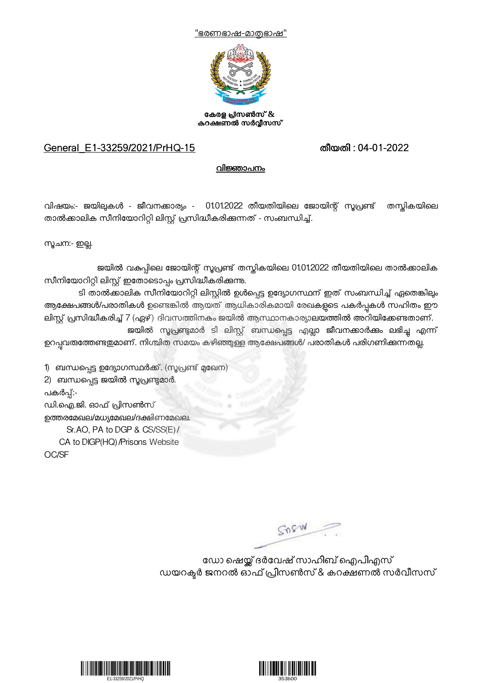



കേരള പ്രസൺസ് & കറക്ഷണൽ സർവ്വീസസ്

## General\_E1-33259/2021/PrHQ-15 തീയതി : 04-01-2022

## വിജ്ഞാപനം

വിഷയം:- ജയിലുകൾ - ജീവനക്കാര്യം - 01.01.2022 തീയതിയിലെ ജോയിന്റ് സൂപ്രണ്ട് തസ്തികയിലെ താൽക്കാലിക സീനിയോറിറ്റി ലിസ്റ്റ് പ്രസിദ്ധീകരിക്കുന്നത് - സംബന്ധിച്ച്.

സൂചന:- ഇല്ല.

ജയിൽ വകുപ്പിലെ ജോയിന്റ് സൂപ്രണ്ട് തന്റ്ലികയിലെ 01.01.2022 തീയതിയിലെ താൽക്കാലിക സീനിയോറിറ്റി ലിസ്റ്റ് ഇതോടൊപ്പം പ്രസിദ്ധീകരിക്കുന്നു.

ടി താൽക്കാലിക സീനിയോറിറ്റി ലിസ്റ്റിൽ ഉൾപ്പെട്ട ഉദ്യോഗസ്ഥന് ഇത് സംബന്ധിച്ച് ഏതെങ്കിലും ആക്ഷേപങ്ങൾ/പരാതികൾ ഉണ്ടെങ്കിൽ ആയത് ആധികാരികമായി രേഖകളടെ പകർപ്പകൾ സഹിതം ഈ ലിസ്റ്റ് പ്രസിദ്ധീകരിച്ച് 7 (ഏഴ്) ദിവസത്തിനകം ജയിൽ ആസ്ഥാനകാര്യാലയത്തിൽ അറിയിക്കേണ്ടതാണ്. ജയിൽ സൂപ്രണ്ടുമാർ ടി ലിസ്റ്റ് ബന്ധപ്പെട്ട എല്ലാ ജീവനക്കാർക്കം ലഭിച്ച എന്ന് ഉറപ്പവരുത്തേണ്ടഇമാണ്. നിശ്ചിത സമയം കഴിഞ്ഞുള്ള ആക്ഷേപങ്ങൾ/ പരാതികൾ പരിഗണിക്കുന്നതല്ല.

1) ബന്ധപ്പെട്ട ഉദ്യോഗസ്ഥർക്ക്. (സൂപ്രണ്ട് മുഖേന) 2) ബന്ധപ്പെട്ട ജയിൽ സൂപ്രണ്ടുമാർ. പകർപ്പ്:-ഡി.ഐ.ജി. ഓഫ് പ്രിസൺസ് ഉത്തരമേഖല/മധ്യമേഖല/ദക്ഷിണമേഖല. Sr.AO, PA to DGP & CS/SS(E)/ CA to DIGP(HQ)/Prisons Website

OC/SF

 $SDSW$ 

ഡോ ഷെയ്ക് ദർവേഷ് സാഹിബ് ഐപിഎസ് ഡയറക്ടർ ജനറൽ ഓഫ് പ്രിസൺസ് & കറക്ഷണൽ സർവീസസ്



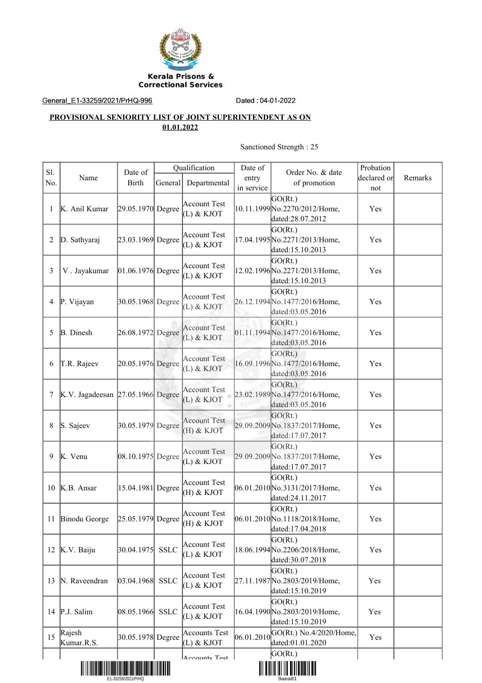

General\_E1-33259/2021/PrHQ-996 Dated : 04-01-2022

## **PROVISIONAL SENIORITY LIST OF JOINT SUPERINTENDENT AS ON 01.01.2022**

## Sanctioned Strength : 25

| S1.<br>No. | Name                              | Date of<br><b>Birth</b> | General     | Qualification<br>Departmental       | Date of<br>entry<br>in service | Order No. & date<br>of promotion                             | Probation<br>declared or<br>not | Remarks |
|------------|-----------------------------------|-------------------------|-------------|-------------------------------------|--------------------------------|--------------------------------------------------------------|---------------------------------|---------|
|            | K. Anil Kumar                     | 29.05.1970 Degree       |             | <b>Account Test</b><br>(L) & KJOT   |                                | GO(Rt.)<br>10.11.1999 No.2270/2012/Home,<br>dated:28.07.2012 | Yes                             |         |
| 2          | D. Sathyaraj                      | 23.03.1969 Degree       |             | <b>Account Test</b><br>(L) & KJOT   |                                | GO(Rt.)<br>17.04.1995 No.2271/2013/Home,<br>dated:15.10.2013 | Yes                             |         |
| 3          | V. Jayakumar                      | $[01.06.1976]$ Degree   |             | Account Test<br>(L) & KJOT          |                                | GO(Rt.)<br>12.02.1996 No.2271/2013/Home,<br>dated:15.10.2013 | Yes                             |         |
| 4          | P. Vijayan                        | 30.05.1968 Degree       |             | <b>Account Test</b><br>(L) & KJOT   |                                | GO(Rt.)<br>26.12.1994 No.1477/2016/Home,<br>dated:03.05.2016 | Yes                             |         |
| 5          | <b>B.</b> Dinesh                  | 26.08.1972 Degree       |             | <b>Account Test</b><br>$(L)$ & KJOT |                                | GO(Rt.)<br>01.11.1994 No.1477/2016/Home,<br>dated:03.05.2016 | Yes                             |         |
| 6          | T.R. Rajeev                       | 20.05.1976 Degree       |             | <b>Account Test</b><br>$(L)$ & KJOT |                                | GO(Rt.)<br>16.09.1996 No.1477/2016/Home,<br>dated:03.05.2016 | Yes                             |         |
| 7          | K.V. Jagadeesan 27.05.1966 Degree |                         |             | <b>Account Test</b><br>(L) & KJOT   |                                | GO(Rt.)<br>23.02.1989 No.1477/2016/Home,<br>dated:03.05.2016 | Yes                             |         |
| 8          | S. Sajeev                         | 30.05.1979 Degree       |             | <b>Account Test</b><br>(H) & KJOT   |                                | GO(Rt.)<br>29.09.2009 No.1837/2017/Home,<br>dated:17.07.2017 | Yes                             |         |
| 9          | K. Venu                           | $[08.10.1975]$ Degree   |             | <b>Account Test</b><br>(L) & KJOT   |                                | GO(Rt.)<br>29.09.2009 No.1837/2017/Home,<br>dated:17.07.2017 | Yes                             |         |
| 10         | K.B. Ansar                        | 15.04.1981 Degree       |             | <b>Account Test</b><br>(H) & KJOT   |                                | GO(Rt.)<br>06.01.2010 No.3131/2017/Home,<br>dated:24.11.2017 | Yes                             |         |
|            | 11 Binodu George                  | 25.05.1979 Degree       |             | <b>Account Test</b><br>$(H)$ & KJOT |                                | GO(Rt.)<br>06.01.2010 No.1118/2018/Home,<br>dated:17.04.2018 | Yes                             |         |
|            | 12 K.V. Baiju                     | 30.04.1975              | <b>SSLC</b> | <b>Account Test</b><br>(L) & KJOT   |                                | GO(Rt.)<br>18.06.1994 No.2206/2018/Home,<br>dated:30.07.2018 | Yes                             |         |
| 13         | N. Raveendran                     | [03.04.1968]            | <b>SSLC</b> | Account Test<br>(L) & KJOT          |                                | GO(Rt.)<br>27.11.1987 No.2803/2019/Home,<br>dated:15.10.2019 | Yes                             |         |
| 14         | P.J. Salim                        | 08.05.1966              | <b>SSLC</b> | <b>Account Test</b><br>(L) & KJOT   |                                | GO(Rt.)<br>16.04.1990 No.2803/2019/Home,<br>dated:15.10.2019 | Yes                             |         |
| 15         | Rajesh<br>Kumar.R.S.              | 30.05.1978 Degree       |             | <b>Accounts Test</b><br>(L) & KJOT  | 06.01.2010                     | GO(Rt.) No.4/2020/Home,<br>dated:01.01.2020                  | Yes                             |         |
|            |                                   |                         |             | Accounts Test                       |                                | GO(Rt.)<br><u> III OIIII III III OIIIII III</u>              |                                 |         |